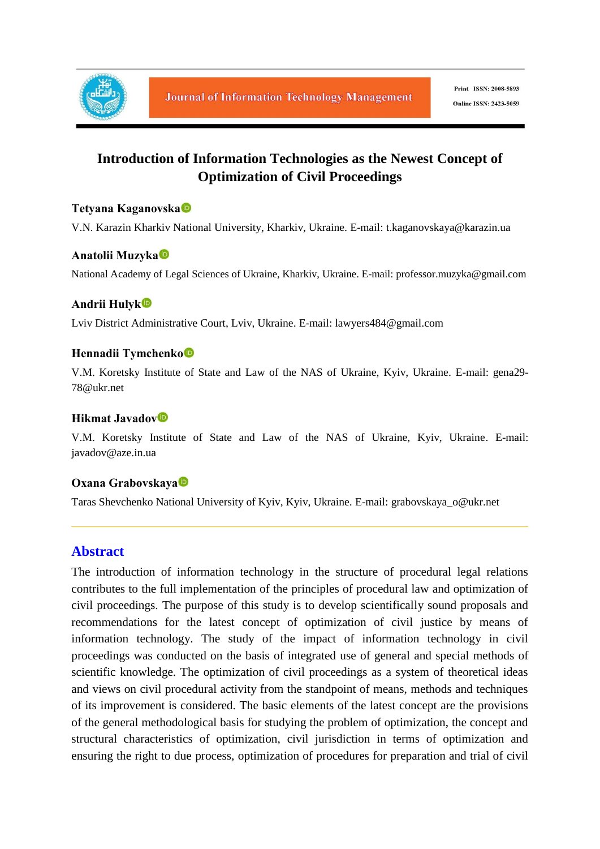

# **Introduction of Information Technologies as the Newest Concept of Optimization of Civil Proceedings**

## **Tetyana Kaganovska**

V.N. Karazin Kharkiv National University, Kharkiv, Ukraine. E-mail: t.kaganovskaya@karazin.ua

## **Anatolii Muzyka**

National Academy of Legal Sciences of Ukraine, Kharkiv, Ukraine. E-mail: professor.muzyka@gmail.com

## **Andrii Hulyk**

Lviv District Administrative Court, Lviv, Ukraine. E-mail: lawyers484@gmail.com

#### **Hennadii Tymchenko**

V.M. Koretsky Institute of State and Law of the NAS of Ukraine, Kyiv, Ukraine. E-mail: gena29- 78@ukr.net

## **Hikmat Javadov**

V.M. Koretsky Institute of State and Law of the NAS of Ukraine, Kyiv, Ukraine. E-mail: javadov@aze.in.ua

#### **Oxana Grabovskaya**

Taras Shevchenko National University of Kyiv, Kyiv, Ukraine. E-mail: grabovskaya\_o@ukr.net

## **Abstract**

The introduction of information technology in the structure of procedural legal relations contributes to the full implementation of the principles of procedural law and optimization of civil proceedings. The purpose of this study is to develop scientifically sound proposals and recommendations for the latest concept of optimization of civil justice by means of information technology. The study of the impact of information technology in civil proceedings was conducted on the basis of integrated use of general and special methods of scientific knowledge. The optimization of civil proceedings as a system of theoretical ideas and views on civil procedural activity from the standpoint of means, methods and techniques of its improvement is considered. The basic elements of the latest concept are the provisions of the general methodological basis for studying the problem of optimization, the concept and structural characteristics of optimization, civil jurisdiction in terms of optimization and ensuring the right to due process, optimization of procedures for preparation and trial of civil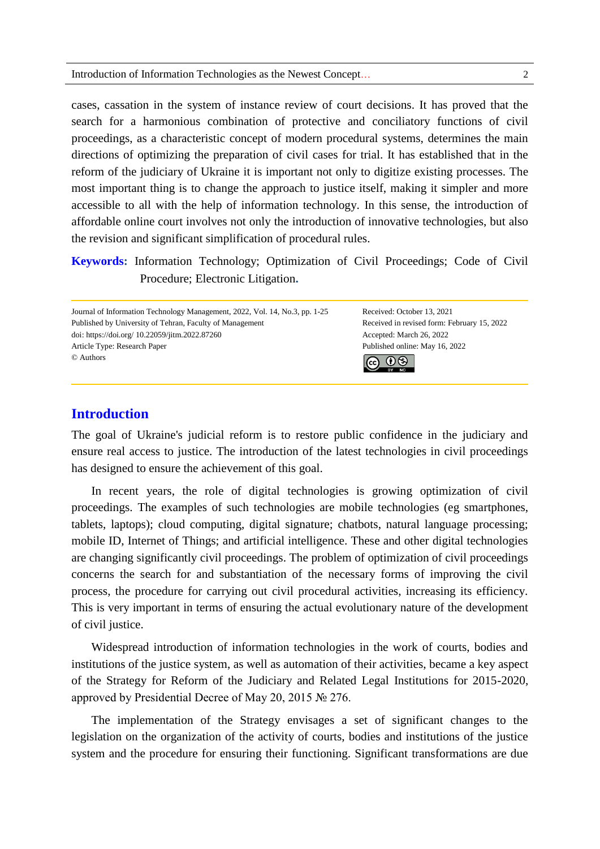#### Introduction of Information Technologies as the Newest Concept… 2

cases, cassation in the system of instance review of court decisions. It has proved that the search for a harmonious combination of protective and conciliatory functions of civil proceedings, as a characteristic concept of modern procedural systems, determines the main directions of optimizing the preparation of civil cases for trial. It has established that in the reform of the judiciary of Ukraine it is important not only to digitize existing processes. The most important thing is to change the approach to justice itself, making it simpler and more accessible to all with the help of information technology. In this sense, the introduction of affordable online court involves not only the introduction of innovative technologies, but also the revision and significant simplification of procedural rules.

**Keywords:** Information Technology; Optimization of Civil Proceedings; Code of Civil Procedure; Electronic Litigation**.**

Journal of Information Technology Management, 2022, Vol. 14, No.3, pp. 1-25 Received: October 13, 2021 Published by University of Tehran, Faculty of Management Received in revised form: February 15, 2022 doi: https://doi.org/ 10.22059/jitm.2022.87260 Accepted: March 26, 2022 Article Type: Research Paper Published online: May 16, 2022 © Authors ெ 0

## **Introduction**

The goal of Ukraine's judicial reform is to restore public confidence in the judiciary and ensure real access to justice. The introduction of the latest technologies in civil proceedings has designed to ensure the achievement of this goal.

In recent years, the role of digital technologies is growing optimization of civil proceedings. The examples of such technologies are mobile technologies (eg smartphones, tablets, laptops); cloud computing, digital signature; chatbots, natural language processing; mobile ID, Internet of Things; and artificial intelligence. These and other digital technologies are changing significantly civil proceedings. The problem of optimization of civil proceedings concerns the search for and substantiation of the necessary forms of improving the civil process, the procedure for carrying out civil procedural activities, increasing its efficiency. This is very important in terms of ensuring the actual evolutionary nature of the development of civil justice.

Widespread introduction of information technologies in the work of courts, bodies and institutions of the justice system, as well as automation of their activities, became a key aspect of the Strategy for Reform of the Judiciary and Related Legal Institutions for 2015-2020, approved by Presidential Decree of May 20, 2015 № 276.

The implementation of the Strategy envisages a set of significant changes to the legislation on the organization of the activity of courts, bodies and institutions of the justice system and the procedure for ensuring their functioning. Significant transformations are due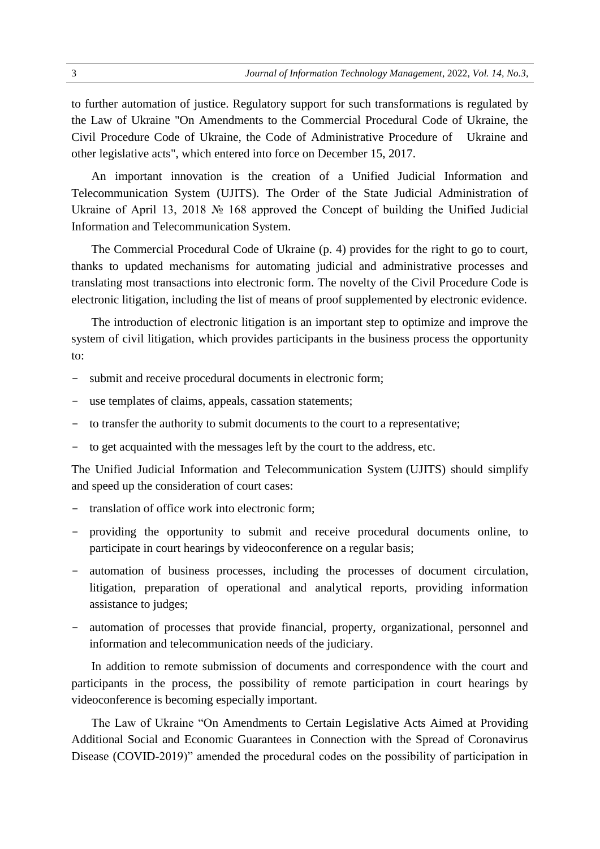to further automation of justice. Regulatory support for such transformations is regulated by the Law of Ukraine "On Amendments to the Commercial Procedural Code of Ukraine, the Civil Procedure Code of Ukraine, the Code of Administrative Procedure of Ukraine and other legislative acts", which entered into force on December 15, 2017.

An important innovation is the creation of a Unified Judicial Information and Telecommunication System (UJITS). The Order of the State Judicial Administration of Ukraine of April 13, 2018 № 168 approved the Concept of building the Unified Judicial Information and Telecommunication System.

The Commercial Procedural Code of Ukraine (p. 4) provides for the right to go to court, thanks to updated mechanisms for automating judicial and administrative processes and translating most transactions into electronic form. The novelty of the Civil Procedure Code is electronic litigation, including the list of means of proof supplemented by electronic evidence.

The introduction of electronic litigation is an important step to optimize and improve the system of civil litigation, which provides participants in the business process the opportunity to:

- submit and receive procedural documents in electronic form;
- use templates of claims, appeals, cassation statements;
- to transfer the authority to submit documents to the court to a representative;
- to get acquainted with the messages left by the court to the address, etc.

The Unified Judicial Information and Telecommunication System (UJITS) should simplify and speed up the consideration of court cases:

- translation of office work into electronic form;
- providing the opportunity to submit and receive procedural documents online, to participate in court hearings by videoconference on a regular basis;
- automation of business processes, including the processes of document circulation, litigation, preparation of operational and analytical reports, providing information assistance to judges;
- automation of processes that provide financial, property, organizational, personnel and information and telecommunication needs of the judiciary.

In addition to remote submission of documents and correspondence with the court and participants in the process, the possibility of remote participation in court hearings by videoconference is becoming especially important.

The Law of Ukraine "On Amendments to Certain Legislative Acts Aimed at Providing Additional Social and Economic Guarantees in Connection with the Spread of Coronavirus Disease (COVID-2019)" amended the procedural codes on the possibility of participation in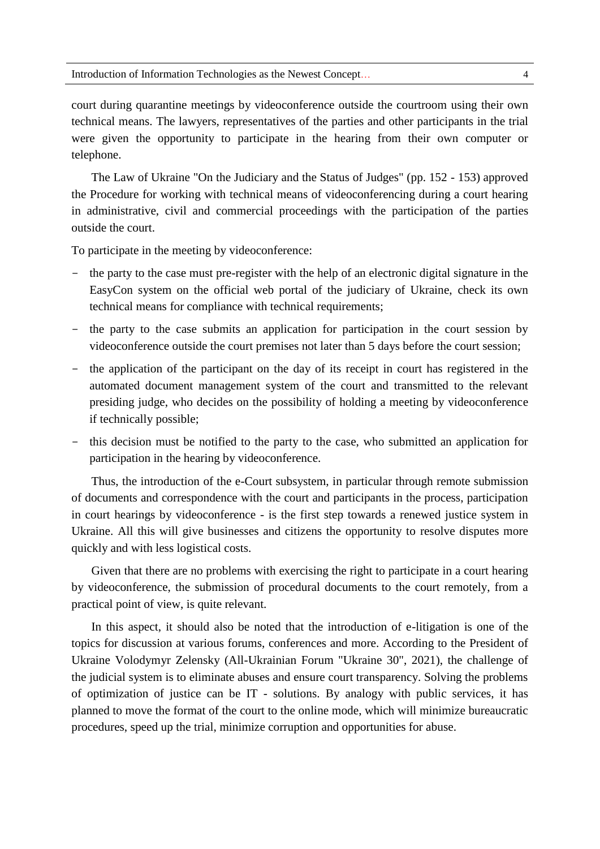court during quarantine meetings by videoconference outside the courtroom using their own technical means. The lawyers, representatives of the parties and other participants in the trial were given the opportunity to participate in the hearing from their own computer or telephone.

The Law of Ukraine "On the Judiciary and the Status of Judges" (pp. 152 - 153) approved the Procedure for working with technical means of videoconferencing during a court hearing in administrative, civil and commercial proceedings with the participation of the parties outside the court.

To participate in the meeting by videoconference:

- the party to the case must pre-register with the help of an electronic digital signature in the EasyCon system on the official web portal of the judiciary of Ukraine, check its own technical means for compliance with technical requirements;
- the party to the case submits an application for participation in the court session by videoconference outside the court premises not later than 5 days before the court session;
- the application of the participant on the day of its receipt in court has registered in the automated document management system of the court and transmitted to the relevant presiding judge, who decides on the possibility of holding a meeting by videoconference if technically possible;
- this decision must be notified to the party to the case, who submitted an application for participation in the hearing by videoconference.

Thus, the introduction of the e-Court subsystem, in particular through remote submission of documents and correspondence with the court and participants in the process, participation in court hearings by videoconference - is the first step towards a renewed justice system in Ukraine. All this will give businesses and citizens the opportunity to resolve disputes more quickly and with less logistical costs.

Given that there are no problems with exercising the right to participate in a court hearing by videoconference, the submission of procedural documents to the court remotely, from a practical point of view, is quite relevant.

In this aspect, it should also be noted that the introduction of e-litigation is one of the topics for discussion at various forums, conferences and more. According to the President of Ukraine Volodymyr Zelensky (All-Ukrainian Forum "Ukraine 30", 2021), the challenge of the judicial system is to eliminate abuses and ensure court transparency. Solving the problems of optimization of justice can be IT - solutions. By analogy with public services, it has planned to move the format of the court to the online mode, which will minimize bureaucratic procedures, speed up the trial, minimize corruption and opportunities for abuse.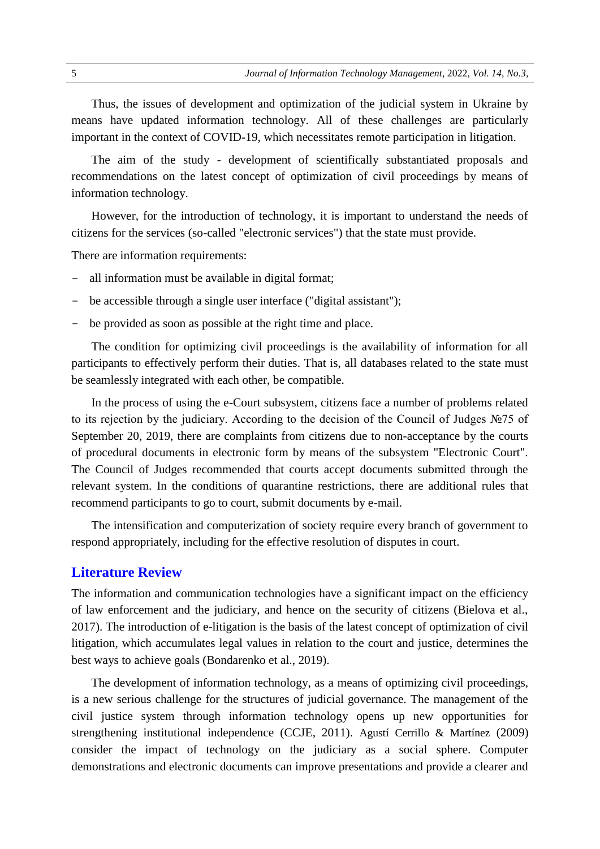Thus, the issues of development and optimization of the judicial system in Ukraine by means have updated information technology. All of these challenges are particularly important in the context of COVID-19, which necessitates remote participation in litigation.

The aim of the study - development of scientifically substantiated proposals and recommendations on the latest concept of optimization of civil proceedings by means of information technology.

However, for the introduction of technology, it is important to understand the needs of citizens for the services (so-called "electronic services") that the state must provide.

There are information requirements:

- all information must be available in digital format;
- be accessible through a single user interface ("digital assistant");
- be provided as soon as possible at the right time and place.

The condition for optimizing civil proceedings is the availability of information for all participants to effectively perform their duties. That is, all databases related to the state must be seamlessly integrated with each other, be compatible.

In the process of using the e-Court subsystem, citizens face a number of problems related to its rejection by the judiciary. According to the decision of the Council of Judges №75 of September 20, 2019, there are complaints from citizens due to non-acceptance by the courts of procedural documents in electronic form by means of the subsystem "Electronic Court". The Council of Judges recommended that courts accept documents submitted through the relevant system. In the conditions of quarantine restrictions, there are additional rules that recommend participants to go to court, submit documents by e-mail.

The intensification and computerization of society require every branch of government to respond appropriately, including for the effective resolution of disputes in court.

#### **Literature Review**

The information and communication technologies have a significant impact on the efficiency of law enforcement and the judiciary, and hence on the security of citizens (Bielova et al., 2017). The introduction of e-litigation is the basis of the latest concept of optimization of civil litigation, which accumulates legal values in relation to the court and justice, determines the best ways to achieve goals (Bondarenko et al., 2019).

The development of information technology, as a means of optimizing civil proceedings, is a new serious challenge for the structures of judicial governance. The management of the civil justice system through information technology opens up new opportunities for strengthening institutional independence (CCJE, 2011). Agustí Cerrillo & Martínez (2009) consider the impact of technology on the judiciary as a social sphere. Computer demonstrations and electronic documents can improve presentations and provide a clearer and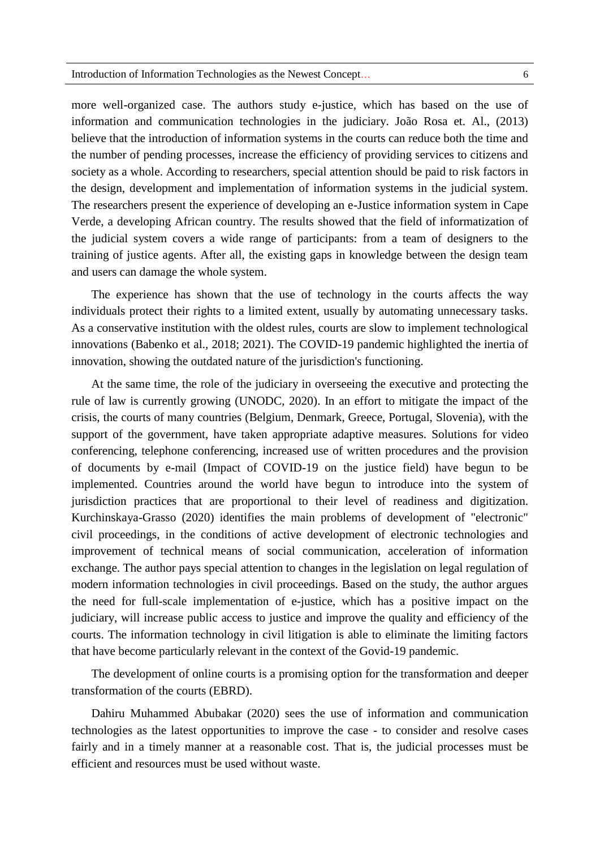more well-organized case. The authors study e-justice, which has based on the use of information and communication technologies in the judiciary. João Rosa et. Al., (2013) believe that the introduction of information systems in the courts can reduce both the time and the number of pending processes, increase the efficiency of providing services to citizens and society as a whole. According to researchers, special attention should be paid to risk factors in the design, development and implementation of information systems in the judicial system. The researchers present the experience of developing an e-Justice information system in Cape Verde, a developing African country. The results showed that the field of informatization of the judicial system covers a wide range of participants: from a team of designers to the training of justice agents. After all, the existing gaps in knowledge between the design team and users can damage the whole system.

The experience has shown that the use of technology in the courts affects the way individuals protect their rights to a limited extent, usually by automating unnecessary tasks. As a conservative institution with the oldest rules, courts are slow to implement technological innovations (Babenko et al., 2018; 2021). The COVID-19 pandemic highlighted the inertia of innovation, showing the outdated nature of the jurisdiction's functioning.

At the same time, the role of the judiciary in overseeing the executive and protecting the rule of law is currently growing (UNODC, 2020). In an effort to mitigate the impact of the crisis, the courts of many countries (Belgium, Denmark, Greece, Portugal, Slovenia), with the support of the government, have taken appropriate adaptive measures. Solutions for video conferencing, telephone conferencing, increased use of written procedures and the provision of documents by e-mail (Impact of COVID-19 on the justice field) have begun to be implemented. Countries around the world have begun to introduce into the system of jurisdiction practices that are proportional to their level of readiness and digitization. Kurchinskaya-Grasso (2020) identifies the main problems of development of "electronic" civil proceedings, in the conditions of active development of electronic technologies and improvement of technical means of social communication, acceleration of information exchange. The author pays special attention to changes in the legislation on legal regulation of modern information technologies in civil proceedings. Based on the study, the author argues the need for full-scale implementation of e-justice, which has a positive impact on the judiciary, will increase public access to justice and improve the quality and efficiency of the courts. The information technology in civil litigation is able to eliminate the limiting factors that have become particularly relevant in the context of the Govid-19 pandemic.

The development of online courts is a promising option for the transformation and deeper transformation of the courts (EBRD).

Dahiru Muhammed Abubakar (2020) sees the use of information and communication technologies as the latest opportunities to improve the case - to consider and resolve cases fairly and in a timely manner at a reasonable cost. That is, the judicial processes must be efficient and resources must be used without waste.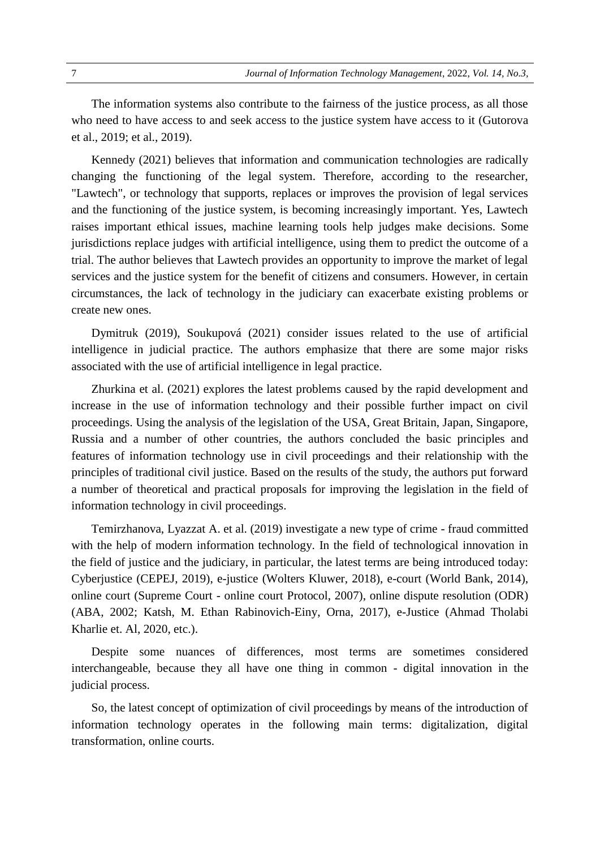The information systems also contribute to the fairness of the justice process, as all those who need to have access to and seek access to the justice system have access to it (Gutorova et al., 2019; et al., 2019).

Kennedy (2021) believes that information and communication technologies are radically changing the functioning of the legal system. Therefore, according to the researcher, "Lawtech", or technology that supports, replaces or improves the provision of legal services and the functioning of the justice system, is becoming increasingly important. Yes, Lawtech raises important ethical issues, machine learning tools help judges make decisions. Some jurisdictions replace judges with artificial intelligence, using them to predict the outcome of a trial. The author believes that Lawtech provides an opportunity to improve the market of legal services and the justice system for the benefit of citizens and consumers. However, in certain circumstances, the lack of technology in the judiciary can exacerbate existing problems or create new ones.

Dymitruk (2019), Soukupová (2021) consider issues related to the use of artificial intelligence in judicial practice. The authors emphasize that there are some major risks associated with the use of artificial intelligence in legal practice.

Zhurkina et al. (2021) explores the latest problems caused by the rapid development and increase in the use of information technology and their possible further impact on civil proceedings. Using the analysis of the legislation of the USA, Great Britain, Japan, Singapore, Russia and a number of other countries, the authors concluded the basic principles and features of information technology use in civil proceedings and their relationship with the principles of traditional civil justice. Based on the results of the study, the authors put forward a number of theoretical and practical proposals for improving the legislation in the field of information technology in civil proceedings.

Temirzhanova, Lyazzat A. et al. (2019) investigate a new type of crime - fraud committed with the help of modern information technology. In the field of technological innovation in the field of justice and the judiciary, in particular, the latest terms are being introduced today: Cyberjustice (CEPEJ, 2019), e-justice (Wolters Kluwer, 2018), e-court (World Bank, 2014), online court (Supreme Court - online court Protocol, 2007), online dispute resolution (ODR) (ABA, 2002; Katsh, M. Ethan Rabinovich-Einy, Orna, 2017), e-Justice (Ahmad Tholabi Kharlie et. Al, 2020, etc.).

Despite some nuances of differences, most terms are sometimes considered interchangeable, because they all have one thing in common - digital innovation in the judicial process.

So, the latest concept of optimization of civil proceedings by means of the introduction of information technology operates in the following main terms: digitalization, digital transformation, online courts.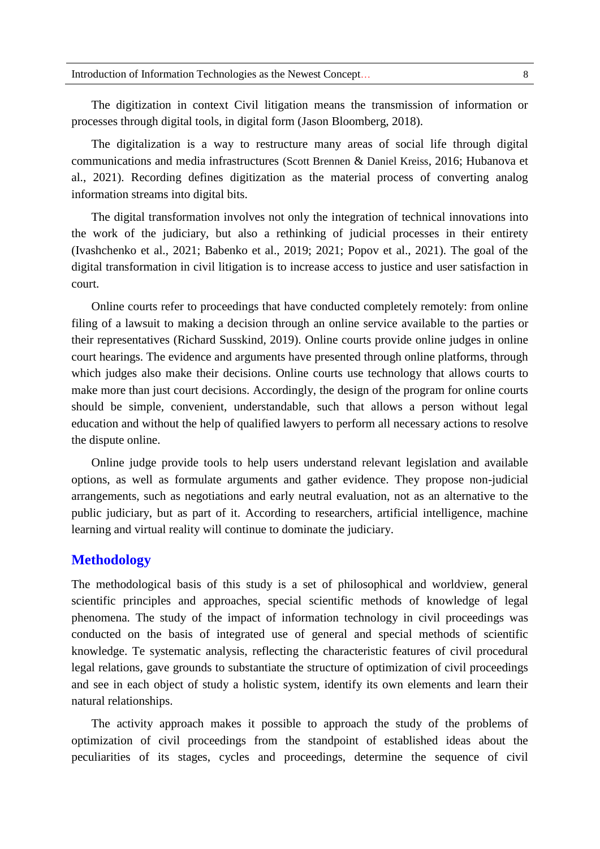The digitization in context Civil litigation means the transmission of information or processes through digital tools, in digital form (Jason Bloomberg, 2018).

The digitalization is a way to restructure many areas of social life through digital communications and media infrastructures (Scott Brennen & Daniel Kreiss, 2016; Hubanova et al., 2021). Recording defines digitization as the material process of converting analog information streams into digital bits.

The digital transformation involves not only the integration of technical innovations into the work of the judiciary, but also a rethinking of judicial processes in their entirety (Ivashchenko et al., 2021; Babenko et al., 2019; 2021; Popov et al., 2021). The goal of the digital transformation in civil litigation is to increase access to justice and user satisfaction in court.

Online courts refer to proceedings that have conducted completely remotely: from online filing of a lawsuit to making a decision through an online service available to the parties or their representatives (Richard Susskind, 2019). Online courts provide online judges in online court hearings. The evidence and arguments have presented through online platforms, through which judges also make their decisions. Online courts use technology that allows courts to make more than just court decisions. Accordingly, the design of the program for online courts should be simple, convenient, understandable, such that allows a person without legal education and without the help of qualified lawyers to perform all necessary actions to resolve the dispute online.

Online judge provide tools to help users understand relevant legislation and available options, as well as formulate arguments and gather evidence. They propose non-judicial arrangements, such as negotiations and early neutral evaluation, not as an alternative to the public judiciary, but as part of it. According to researchers, artificial intelligence, machine learning and virtual reality will continue to dominate the judiciary.

## **Methodology**

The methodological basis of this study is a set of philosophical and worldview, general scientific principles and approaches, special scientific methods of knowledge of legal phenomena. The study of the impact of information technology in civil proceedings was conducted on the basis of integrated use of general and special methods of scientific knowledge. Te systematic analysis, reflecting the characteristic features of civil procedural legal relations, gave grounds to substantiate the structure of optimization of civil proceedings and see in each object of study a holistic system, identify its own elements and learn their natural relationships.

The activity approach makes it possible to approach the study of the problems of optimization of civil proceedings from the standpoint of established ideas about the peculiarities of its stages, cycles and proceedings, determine the sequence of civil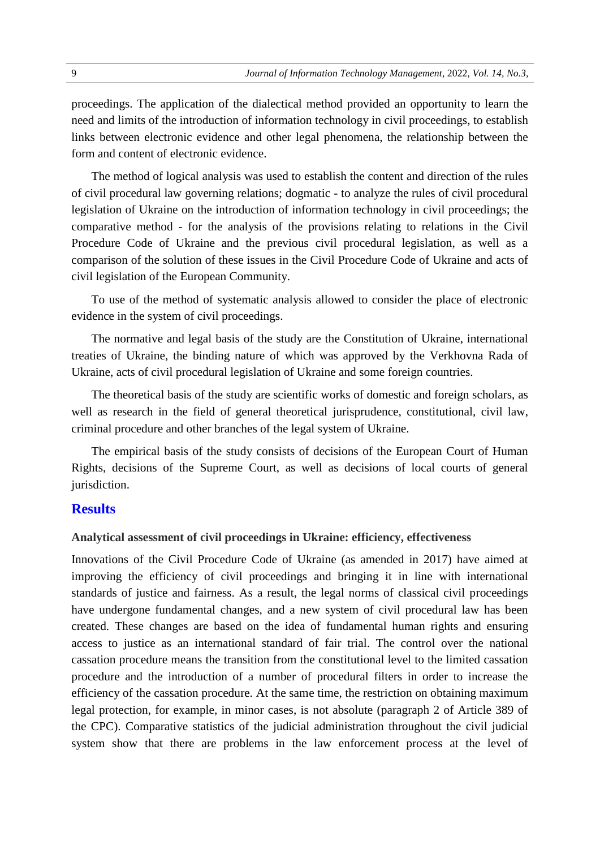proceedings. The application of the dialectical method provided an opportunity to learn the need and limits of the introduction of information technology in civil proceedings, to establish links between electronic evidence and other legal phenomena, the relationship between the form and content of electronic evidence.

The method of logical analysis was used to establish the content and direction of the rules of civil procedural law governing relations; dogmatic - to analyze the rules of civil procedural legislation of Ukraine on the introduction of information technology in civil proceedings; the comparative method - for the analysis of the provisions relating to relations in the Civil Procedure Code of Ukraine and the previous civil procedural legislation, as well as a comparison of the solution of these issues in the Civil Procedure Code of Ukraine and acts of civil legislation of the European Community.

To use of the method of systematic analysis allowed to consider the place of electronic evidence in the system of civil proceedings.

The normative and legal basis of the study are the Constitution of Ukraine, international treaties of Ukraine, the binding nature of which was approved by the Verkhovna Rada of Ukraine, acts of civil procedural legislation of Ukraine and some foreign countries.

The theoretical basis of the study are scientific works of domestic and foreign scholars, as well as research in the field of general theoretical jurisprudence, constitutional, civil law, criminal procedure and other branches of the legal system of Ukraine.

The empirical basis of the study consists of decisions of the European Court of Human Rights, decisions of the Supreme Court, as well as decisions of local courts of general jurisdiction.

#### **Results**

#### **Analytical assessment of civil proceedings in Ukraine: efficiency, effectiveness**

Innovations of the Civil Procedure Code of Ukraine (as amended in 2017) have aimed at improving the efficiency of civil proceedings and bringing it in line with international standards of justice and fairness. As a result, the legal norms of classical civil proceedings have undergone fundamental changes, and a new system of civil procedural law has been created. These changes are based on the idea of fundamental human rights and ensuring access to justice as an international standard of fair trial. The control over the national cassation procedure means the transition from the constitutional level to the limited cassation procedure and the introduction of a number of procedural filters in order to increase the efficiency of the cassation procedure. At the same time, the restriction on obtaining maximum legal protection, for example, in minor cases, is not absolute (paragraph 2 of Article 389 of the CPC). Comparative statistics of the judicial administration throughout the civil judicial system show that there are problems in the law enforcement process at the level of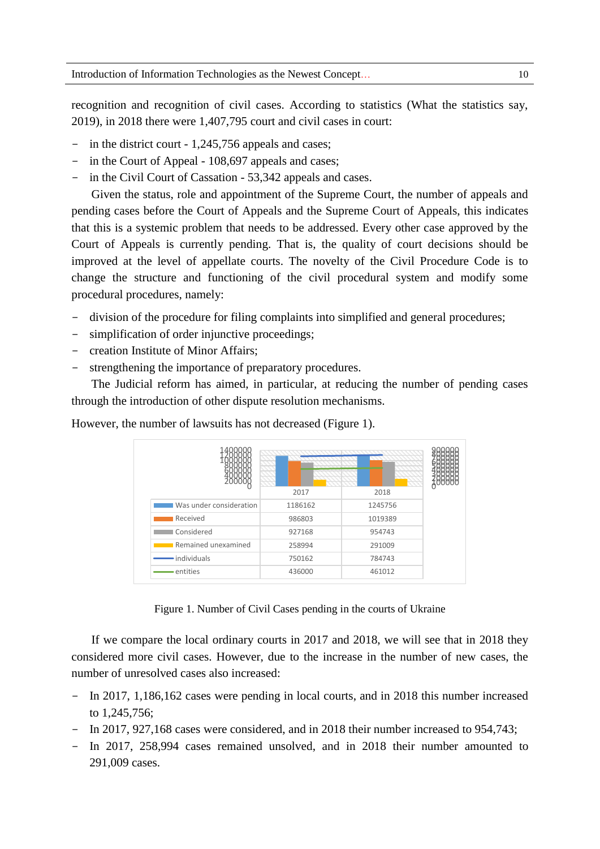recognition and recognition of civil cases. According to statistics (What the statistics say, 2019), in 2018 there were 1,407,795 court and civil cases in court:

- in the district court 1,245,756 appeals and cases;
- in the Court of Appeal 108,697 appeals and cases;
- in the Civil Court of Cassation 53,342 appeals and cases.

Given the status, role and appointment of the Supreme Court, the number of appeals and pending cases before the Court of Appeals and the Supreme Court of Appeals, this indicates that this is a systemic problem that needs to be addressed. Every other case approved by the Court of Appeals is currently pending. That is, the quality of court decisions should be improved at the level of appellate courts. The novelty of the Civil Procedure Code is to change the structure and functioning of the civil procedural system and modify some procedural procedures, namely:

- division of the procedure for filing complaints into simplified and general procedures;
- simplification of order injunctive proceedings;
- creation Institute of Minor Affairs;
- strengthening the importance of preparatory procedures.

The Judicial reform has aimed, in particular, at reducing the number of pending cases through the introduction of other dispute resolution mechanisms.

|                         | 2017    | 2018    |  |
|-------------------------|---------|---------|--|
| Was under consideration | 1186162 | 1245756 |  |
| <b>Received</b>         | 986803  | 1019389 |  |
| Considered              | 927168  | 954743  |  |
| Remained unexamined     | 258994  | 291009  |  |
| · individuals           | 750162  | 784743  |  |
| entities                | 436000  | 461012  |  |

However, the number of lawsuits has not decreased (Figure 1).

Figure 1. Number of Civil Cases pending in the courts of Ukraine

If we compare the local ordinary courts in 2017 and 2018, we will see that in 2018 they considered more civil cases. However, due to the increase in the number of new cases, the number of unresolved cases also increased:

- In 2017, 1,186,162 cases were pending in local courts, and in 2018 this number increased to 1,245,756;
- In 2017, 927,168 cases were considered, and in 2018 their number increased to 954,743;
- In 2017, 258,994 cases remained unsolved, and in 2018 their number amounted to 291,009 cases.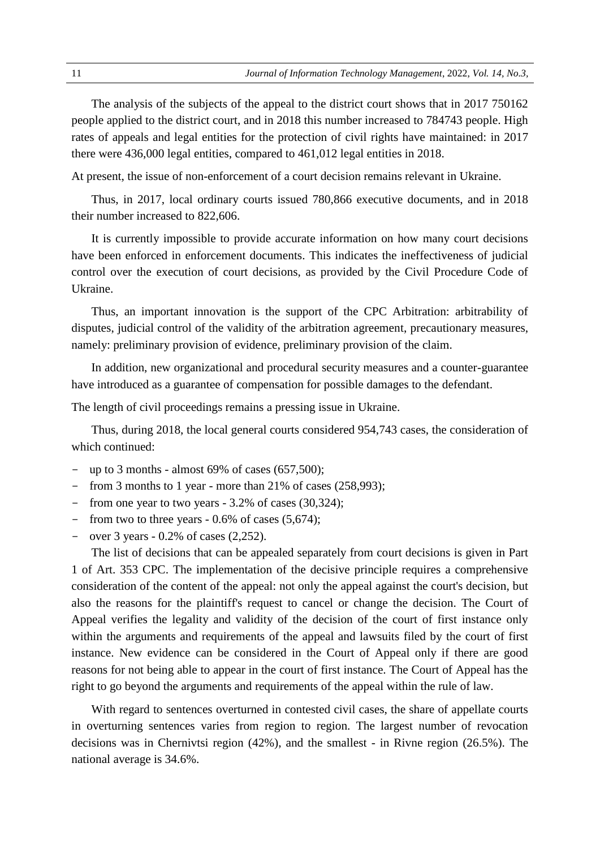The analysis of the subjects of the appeal to the district court shows that in 2017 750162 people applied to the district court, and in 2018 this number increased to 784743 people. High rates of appeals and legal entities for the protection of civil rights have maintained: in 2017 there were 436,000 legal entities, compared to 461,012 legal entities in 2018.

At present, the issue of non-enforcement of a court decision remains relevant in Ukraine.

Thus, in 2017, local ordinary courts issued 780,866 executive documents, and in 2018 their number increased to 822,606.

It is currently impossible to provide accurate information on how many court decisions have been enforced in enforcement documents. This indicates the ineffectiveness of judicial control over the execution of court decisions, as provided by the Civil Procedure Code of Ukraine.

Thus, an important innovation is the support of the CPC Arbitration: arbitrability of disputes, judicial control of the validity of the arbitration agreement, precautionary measures, namely: preliminary provision of evidence, preliminary provision of the claim.

In addition, new organizational and procedural security measures and a counter-guarantee have introduced as a guarantee of compensation for possible damages to the defendant.

The length of civil proceedings remains a pressing issue in Ukraine.

Thus, during 2018, the local general courts considered 954,743 cases, the consideration of which continued:

- up to 3 months almost  $69\%$  of cases  $(657,500)$ ;
- from 3 months to 1 year more than 21% of cases (258,993);
- from one year to two years 3.2% of cases (30,324);
- from two to three years 0.6% of cases (5,674);
- $-$  over 3 years  $-0.2\%$  of cases  $(2.252)$ .

The list of decisions that can be appealed separately from court decisions is given in Part 1 of Art. 353 CPC. The implementation of the decisive principle requires a comprehensive consideration of the content of the appeal: not only the appeal against the court's decision, but also the reasons for the plaintiff's request to cancel or change the decision. The Court of Appeal verifies the legality and validity of the decision of the court of first instance only within the arguments and requirements of the appeal and lawsuits filed by the court of first instance. New evidence can be considered in the Court of Appeal only if there are good reasons for not being able to appear in the court of first instance. The Court of Appeal has the right to go beyond the arguments and requirements of the appeal within the rule of law.

With regard to sentences overturned in contested civil cases, the share of appellate courts in overturning sentences varies from region to region. The largest number of revocation decisions was in Chernivtsi region (42%), and the smallest - in Rivne region (26.5%). The national average is 34.6%.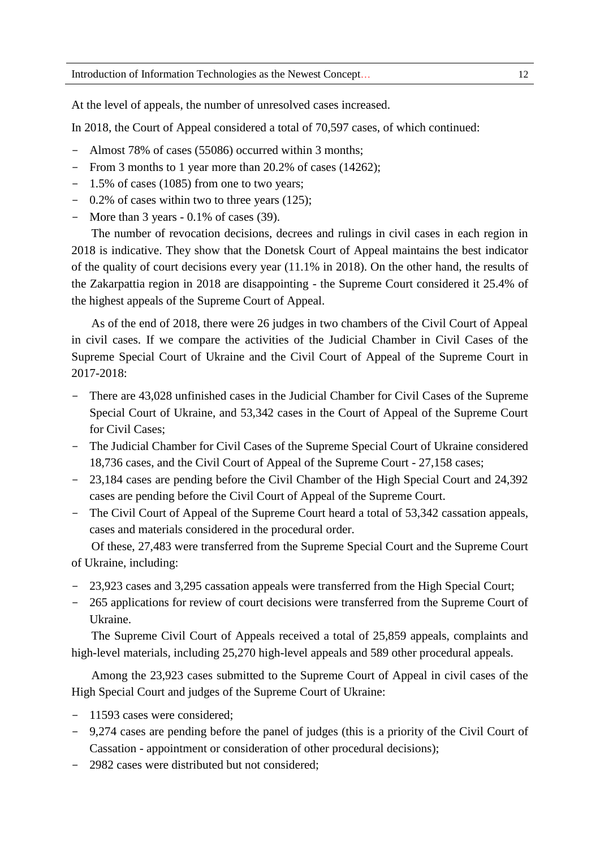At the level of appeals, the number of unresolved cases increased.

In 2018, the Court of Appeal considered a total of 70,597 cases, of which continued:

- Almost 78% of cases (55086) occurred within 3 months;
- From 3 months to 1 year more than 20.2% of cases (14262);
- 1.5% of cases (1085) from one to two years;
- 0.2% of cases within two to three years (125);
- More than  $3$  years  $-0.1\%$  of cases (39).

The number of revocation decisions, decrees and rulings in civil cases in each region in 2018 is indicative. They show that the Donetsk Court of Appeal maintains the best indicator of the quality of court decisions every year (11.1% in 2018). On the other hand, the results of the Zakarpattia region in 2018 are disappointing - the Supreme Court considered it 25.4% of the highest appeals of the Supreme Court of Appeal.

As of the end of 2018, there were 26 judges in two chambers of the Civil Court of Appeal in civil cases. If we compare the activities of the Judicial Chamber in Civil Cases of the Supreme Special Court of Ukraine and the Civil Court of Appeal of the Supreme Court in 2017-2018:

- There are  $43,028$  unfinished cases in the Judicial Chamber for Civil Cases of the Supreme Special Court of Ukraine, and 53,342 cases in the Court of Appeal of the Supreme Court for Civil Cases;
- The Judicial Chamber for Civil Cases of the Supreme Special Court of Ukraine considered 18,736 cases, and the Civil Court of Appeal of the Supreme Court - 27,158 cases;
- 23,184 cases are pending before the Civil Chamber of the High Special Court and 24,392 cases are pending before the Civil Court of Appeal of the Supreme Court.
- The Civil Court of Appeal of the Supreme Court heard a total of 53,342 cassation appeals, cases and materials considered in the procedural order.

Of these, 27,483 were transferred from the Supreme Special Court and the Supreme Court of Ukraine, including:

- 23,923 cases and 3,295 cassation appeals were transferred from the High Special Court;
- 265 applications for review of court decisions were transferred from the Supreme Court of Ukraine.

The Supreme Civil Court of Appeals received a total of 25,859 appeals, complaints and high-level materials, including 25,270 high-level appeals and 589 other procedural appeals.

Among the 23,923 cases submitted to the Supreme Court of Appeal in civil cases of the High Special Court and judges of the Supreme Court of Ukraine:

- 11593 cases were considered;
- 9,274 cases are pending before the panel of judges (this is a priority of the Civil Court of Cassation - appointment or consideration of other procedural decisions);
- 2982 cases were distributed but not considered;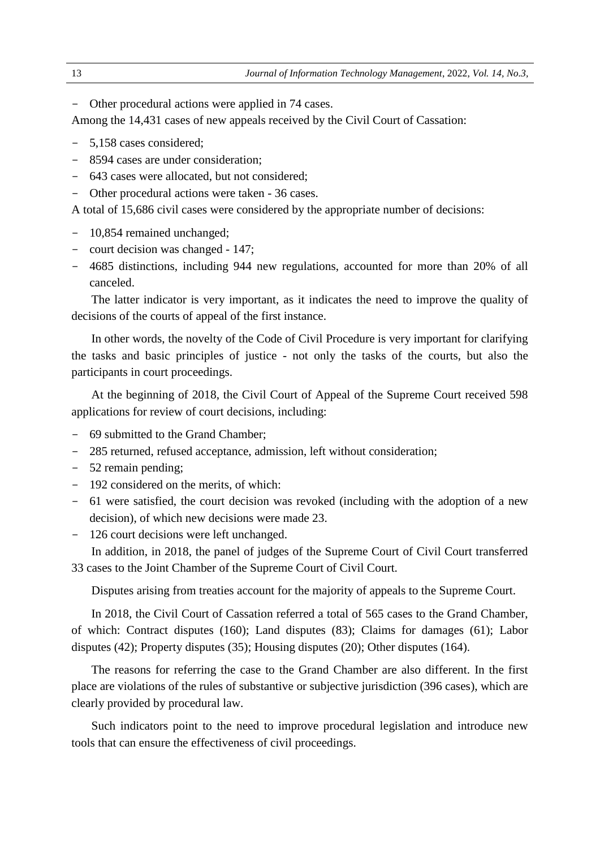- Other procedural actions were applied in 74 cases.

Among the 14,431 cases of new appeals received by the Civil Court of Cassation:

- 5,158 cases considered;
- 8594 cases are under consideration;
- 643 cases were allocated, but not considered;
- Other procedural actions were taken 36 cases.

A total of 15,686 civil cases were considered by the appropriate number of decisions:

- 10,854 remained unchanged;
- court decision was changed 147;
- 4685 distinctions, including 944 new regulations, accounted for more than 20% of all canceled.

The latter indicator is very important, as it indicates the need to improve the quality of decisions of the courts of appeal of the first instance.

In other words, the novelty of the Code of Civil Procedure is very important for clarifying the tasks and basic principles of justice - not only the tasks of the courts, but also the participants in court proceedings.

At the beginning of 2018, the Civil Court of Appeal of the Supreme Court received 598 applications for review of court decisions, including:

- 69 submitted to the Grand Chamber;
- 285 returned, refused acceptance, admission, left without consideration;
- 52 remain pending;
- 192 considered on the merits, of which:
- 61 were satisfied, the court decision was revoked (including with the adoption of a new decision), of which new decisions were made 23.
- 126 court decisions were left unchanged.

In addition, in 2018, the panel of judges of the Supreme Court of Civil Court transferred 33 cases to the Joint Chamber of the Supreme Court of Civil Court.

Disputes arising from treaties account for the majority of appeals to the Supreme Court.

In 2018, the Civil Court of Cassation referred a total of 565 cases to the Grand Chamber, of which: Contract disputes (160); Land disputes (83); Claims for damages (61); Labor disputes (42); Property disputes (35); Housing disputes (20); Other disputes (164).

The reasons for referring the case to the Grand Chamber are also different. In the first place are violations of the rules of substantive or subjective jurisdiction (396 cases), which are clearly provided by procedural law.

Such indicators point to the need to improve procedural legislation and introduce new tools that can ensure the effectiveness of civil proceedings.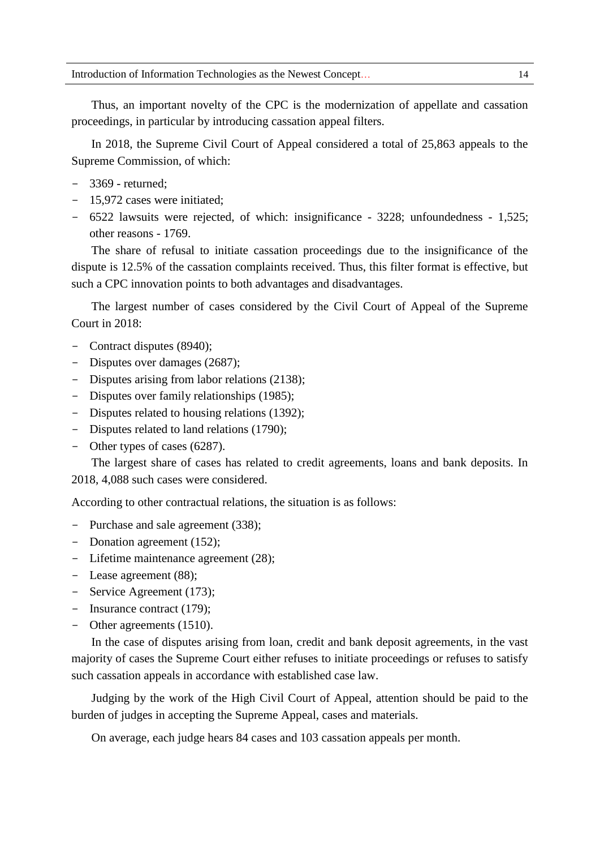Thus, an important novelty of the CPC is the modernization of appellate and cassation proceedings, in particular by introducing cassation appeal filters.

In 2018, the Supreme Civil Court of Appeal considered a total of 25,863 appeals to the Supreme Commission, of which:

- 3369 returned;
- 15,972 cases were initiated;
- 6522 lawsuits were rejected, of which: insignificance 3228; unfoundedness 1,525; other reasons - 1769.

The share of refusal to initiate cassation proceedings due to the insignificance of the dispute is 12.5% of the cassation complaints received. Thus, this filter format is effective, but such a CPC innovation points to both advantages and disadvantages.

The largest number of cases considered by the Civil Court of Appeal of the Supreme Court in 2018:

- Contract disputes (8940);
- Disputes over damages (2687);
- Disputes arising from labor relations (2138);
- Disputes over family relationships (1985);
- Disputes related to housing relations (1392);
- Disputes related to land relations (1790);
- Other types of cases (6287).

The largest share of cases has related to credit agreements, loans and bank deposits. In 2018, 4,088 such cases were considered.

According to other contractual relations, the situation is as follows:

- Purchase and sale agreement (338);
- Donation agreement (152);
- Lifetime maintenance agreement (28);
- Lease agreement (88);
- Service Agreement (173);
- Insurance contract (179);
- Other agreements (1510).

In the case of disputes arising from loan, credit and bank deposit agreements, in the vast majority of cases the Supreme Court either refuses to initiate proceedings or refuses to satisfy such cassation appeals in accordance with established case law.

Judging by the work of the High Civil Court of Appeal, attention should be paid to the burden of judges in accepting the Supreme Appeal, cases and materials.

On average, each judge hears 84 cases and 103 cassation appeals per month.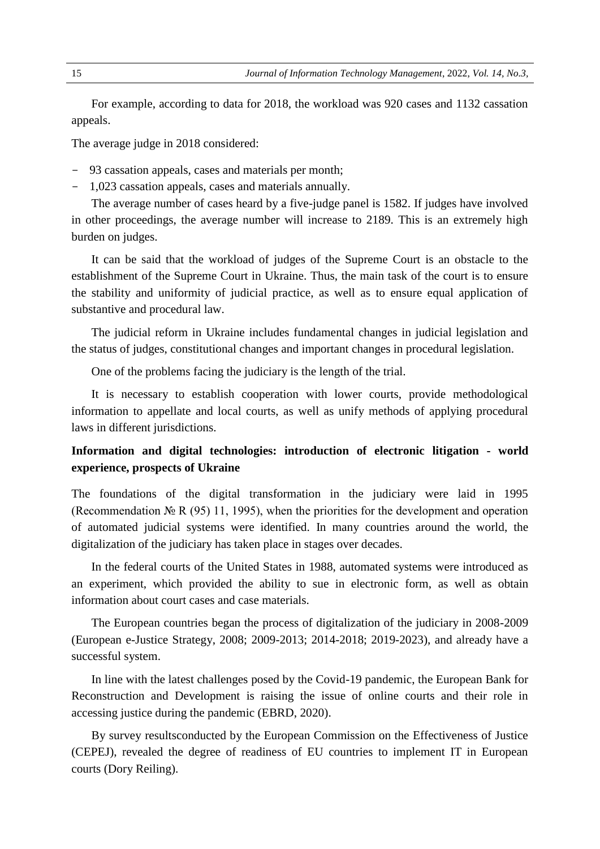For example, according to data for 2018, the workload was 920 cases and 1132 cassation appeals.

The average judge in 2018 considered:

- 93 cassation appeals, cases and materials per month;
- 1,023 cassation appeals, cases and materials annually.

The average number of cases heard by a five-judge panel is 1582. If judges have involved in other proceedings, the average number will increase to 2189. This is an extremely high burden on judges.

It can be said that the workload of judges of the Supreme Court is an obstacle to the establishment of the Supreme Court in Ukraine. Thus, the main task of the court is to ensure the stability and uniformity of judicial practice, as well as to ensure equal application of substantive and procedural law.

The judicial reform in Ukraine includes fundamental changes in judicial legislation and the status of judges, constitutional changes and important changes in procedural legislation.

One of the problems facing the judiciary is the length of the trial.

It is necessary to establish cooperation with lower courts, provide methodological information to appellate and local courts, as well as unify methods of applying procedural laws in different jurisdictions.

## **Information and digital technologies: introduction of electronic litigation - world experience, prospects of Ukraine**

The foundations of the digital transformation in the judiciary were laid in 1995 (Recommendation № R (95) 11, 1995), when the priorities for the development and operation of automated judicial systems were identified. In many countries around the world, the digitalization of the judiciary has taken place in stages over decades.

In the federal courts of the United States in 1988, automated systems were introduced as an experiment, which provided the ability to sue in electronic form, as well as obtain information about court cases and case materials.

The European countries began the process of digitalization of the judiciary in 2008-2009 (European e-Justice Strategy, 2008; 2009-2013; 2014-2018; 2019-2023), and already have a successful system.

In line with the latest challenges posed by the Covid-19 pandemic, the European Bank for Reconstruction and Development is raising the issue of online courts and their role in accessing justice during the pandemic (EBRD, 2020).

By survey resultsconducted by the European Commission on the Effectiveness of Justice (CEPEJ), revealed the degree of readiness of EU countries to implement IT in European courts (Dory Reiling).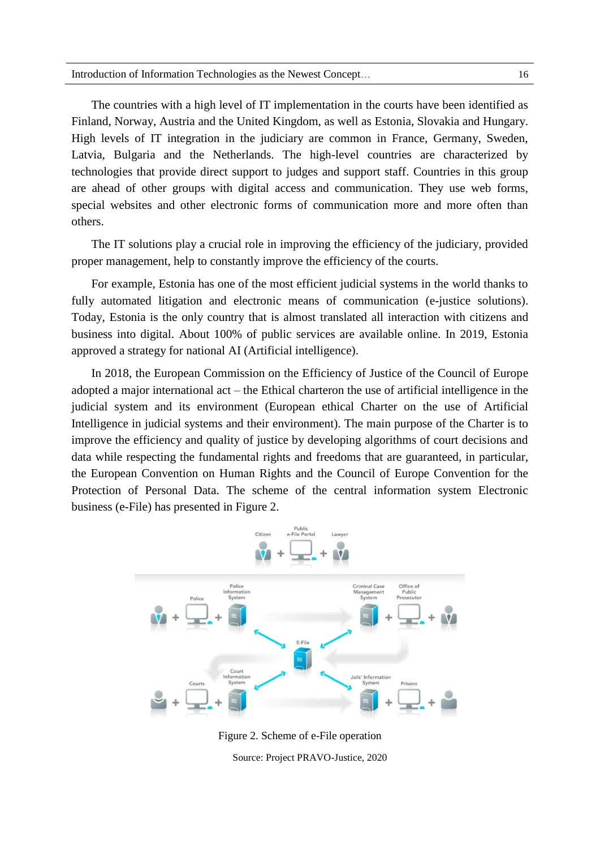The countries with a high level of IT implementation in the courts have been identified as Finland, Norway, Austria and the United Kingdom, as well as Estonia, Slovakia and Hungary. High levels of IT integration in the judiciary are common in France, Germany, Sweden, Latvia, Bulgaria and the Netherlands. The high-level countries are characterized by technologies that provide direct support to judges and support staff. Countries in this group are ahead of other groups with digital access and communication. They use web forms, special websites and other electronic forms of communication more and more often than others.

The IT solutions play a crucial role in improving the efficiency of the judiciary, provided proper management, help to constantly improve the efficiency of the courts.

For example, Estonia has one of the most efficient judicial systems in the world thanks to fully automated litigation and electronic means of communication (e-justice solutions). Today, Estonia is the only country that is almost translated all interaction with citizens and business into digital. About 100% of public services are available online. In 2019, Estonia approved a strategy for national AI (Artificial intelligence).

In 2018, the European Commission on the Efficiency of Justice of the Council of Europe adopted a major international act – the Ethical charteron the use of artificial intelligence in the judicial system and its environment (European ethical Charter on the use of Artificial Intelligence in judicial systems and their environment). The main purpose of the Charter is to improve the efficiency and quality of justice by developing algorithms of court decisions and data while respecting the fundamental rights and freedoms that are guaranteed, in particular, the European Convention on Human Rights and the Council of Europe Convention for the Protection of Personal Data. The scheme of the central information system Electronic business (e-File) has presented in Figure 2.



Figure 2. Scheme of e-File operation

Source: Project PRAVO-Justice, 2020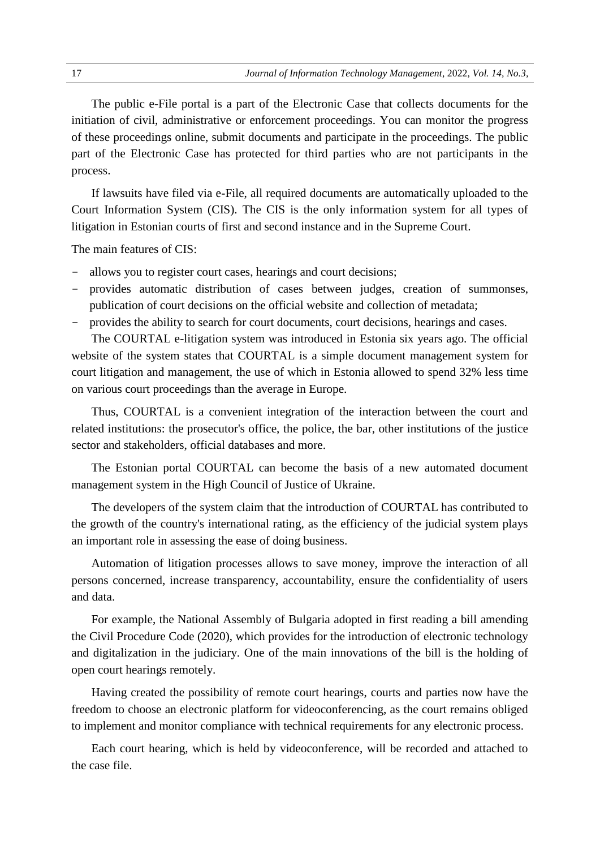The public e-File portal is a part of the Electronic Case that collects documents for the initiation of civil, administrative or enforcement proceedings. You can monitor the progress of these proceedings online, submit documents and participate in the proceedings. The public part of the Electronic Case has protected for third parties who are not participants in the process.

If lawsuits have filed via e-File, all required documents are automatically uploaded to the Court Information System (CIS). The CIS is the only information system for all types of litigation in Estonian courts of first and second instance and in the Supreme Court.

The main features of CIS:

- allows you to register court cases, hearings and court decisions;
- provides automatic distribution of cases between judges, creation of summonses, publication of court decisions on the official website and collection of metadata;
- provides the ability to search for court documents, court decisions, hearings and cases.

The COURTAL e-litigation system was introduced in Estonia six years ago. The official website of the system states that COURTAL is a simple document management system for court litigation and management, the use of which in Estonia allowed to spend 32% less time on various court proceedings than the average in Europe.

Thus, COURTAL is a convenient integration of the interaction between the court and related institutions: the prosecutor's office, the police, the bar, other institutions of the justice sector and stakeholders, official databases and more.

The Estonian portal COURTAL can become the basis of a new automated document management system in the High Council of Justice of Ukraine.

The developers of the system claim that the introduction of COURTAL has contributed to the growth of the country's international rating, as the efficiency of the judicial system plays an important role in assessing the ease of doing business.

Automation of litigation processes allows to save money, improve the interaction of all persons concerned, increase transparency, accountability, ensure the confidentiality of users and data.

For example, the National Assembly of Bulgaria adopted in first reading a bill amending the Civil Procedure Code (2020), which provides for the introduction of electronic technology and digitalization in the judiciary. One of the main innovations of the bill is the holding of open court hearings remotely.

Having created the possibility of remote court hearings, courts and parties now have the freedom to choose an electronic platform for videoconferencing, as the court remains obliged to implement and monitor compliance with technical requirements for any electronic process.

Each court hearing, which is held by videoconference, will be recorded and attached to the case file.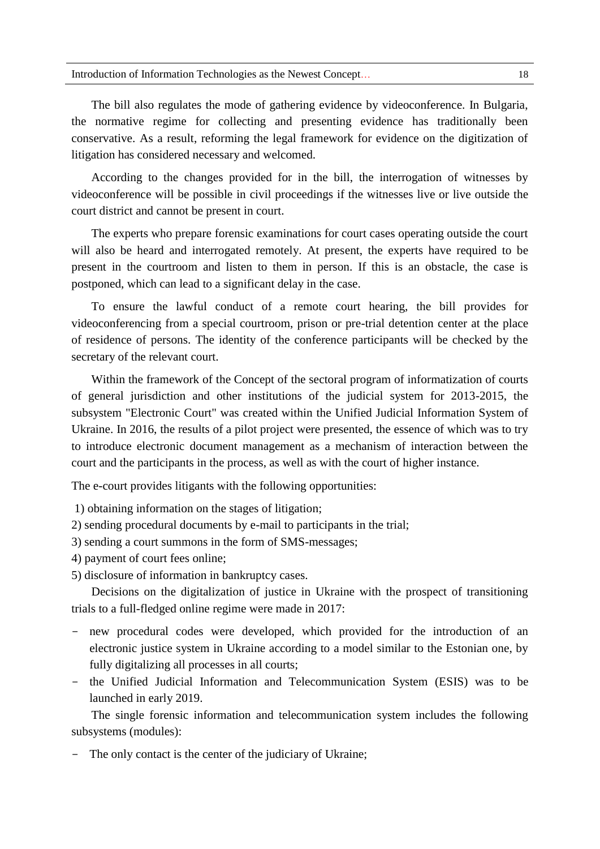The bill also regulates the mode of gathering evidence by videoconference. In Bulgaria, the normative regime for collecting and presenting evidence has traditionally been conservative. As a result, reforming the legal framework for evidence on the digitization of litigation has considered necessary and welcomed.

According to the changes provided for in the bill, the interrogation of witnesses by videoconference will be possible in civil proceedings if the witnesses live or live outside the court district and cannot be present in court.

The experts who prepare forensic examinations for court cases operating outside the court will also be heard and interrogated remotely. At present, the experts have required to be present in the courtroom and listen to them in person. If this is an obstacle, the case is postponed, which can lead to a significant delay in the case.

To ensure the lawful conduct of a remote court hearing, the bill provides for videoconferencing from a special courtroom, prison or pre-trial detention center at the place of residence of persons. The identity of the conference participants will be checked by the secretary of the relevant court.

Within the framework of the Concept of the sectoral program of informatization of courts of general jurisdiction and other institutions of the judicial system for 2013-2015, the subsystem "Electronic Court" was created within the Unified Judicial Information System of Ukraine. In 2016, the results of a pilot project were presented, the essence of which was to try to introduce electronic document management as a mechanism of interaction between the court and the participants in the process, as well as with the court of higher instance.

The e-court provides litigants with the following opportunities:

1) obtaining information on the stages of litigation;

2) sending procedural documents by e-mail to participants in the trial;

3) sending a court summons in the form of SMS-messages;

4) payment of court fees online;

5) disclosure of information in bankruptcy cases.

Decisions on the digitalization of justice in Ukraine with the prospect of transitioning trials to a full-fledged online regime were made in 2017:

- new procedural codes were developed, which provided for the introduction of an electronic justice system in Ukraine according to a model similar to the Estonian one, by fully digitalizing all processes in all courts;
- the Unified Judicial Information and Telecommunication System (ESIS) was to be launched in early 2019.

The single forensic information and telecommunication system includes the following subsystems (modules):

- The only contact is the center of the judiciary of Ukraine;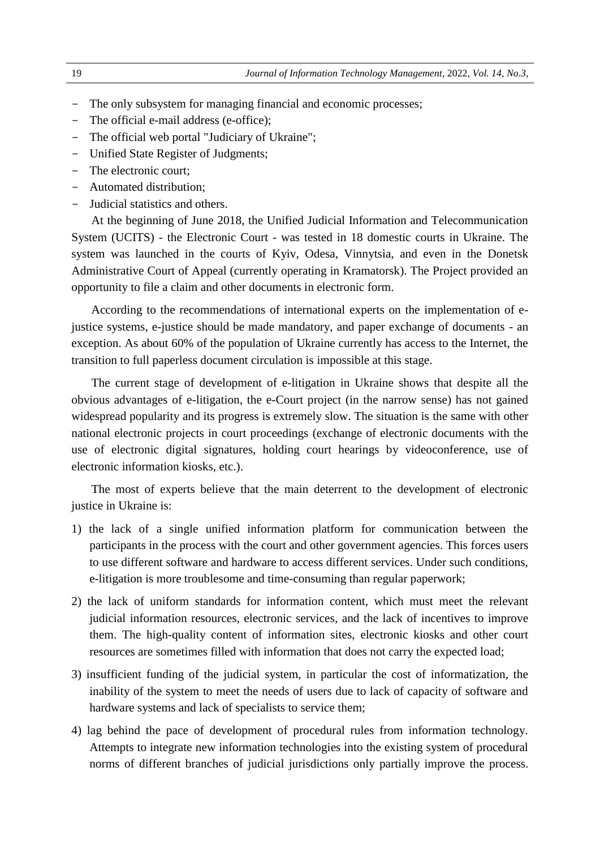- The only subsystem for managing financial and economic processes;
- The official e-mail address (e-office);
- The official web portal "Judiciary of Ukraine";
- Unified State Register of Judgments;
- The electronic court;
- Automated distribution;
- Judicial statistics and others.

At the beginning of June 2018, the Unified Judicial Information and Telecommunication System (UCITS) - the Electronic Court - was tested in 18 domestic courts in Ukraine. The system was launched in the courts of Kyiv, Odesa, Vinnytsia, and even in the Donetsk Administrative Court of Appeal (currently operating in Kramatorsk). The Project provided an opportunity to file a claim and other documents in electronic form.

According to the recommendations of international experts on the implementation of ejustice systems, e-justice should be made mandatory, and paper exchange of documents - an exception. As about 60% of the population of Ukraine currently has access to the Internet, the transition to full paperless document circulation is impossible at this stage.

The current stage of development of e-litigation in Ukraine shows that despite all the obvious advantages of e-litigation, the e-Court project (in the narrow sense) has not gained widespread popularity and its progress is extremely slow. The situation is the same with other national electronic projects in court proceedings (exchange of electronic documents with the use of electronic digital signatures, holding court hearings by videoconference, use of electronic information kiosks, etc.).

The most of experts believe that the main deterrent to the development of electronic justice in Ukraine is:

- 1) the lack of a single unified information platform for communication between the participants in the process with the court and other government agencies. This forces users to use different software and hardware to access different services. Under such conditions, e-litigation is more troublesome and time-consuming than regular paperwork;
- 2) the lack of uniform standards for information content, which must meet the relevant judicial information resources, electronic services, and the lack of incentives to improve them. The high-quality content of information sites, electronic kiosks and other court resources are sometimes filled with information that does not carry the expected load;
- 3) insufficient funding of the judicial system, in particular the cost of informatization, the inability of the system to meet the needs of users due to lack of capacity of software and hardware systems and lack of specialists to service them;
- 4) lag behind the pace of development of procedural rules from information technology. Attempts to integrate new information technologies into the existing system of procedural norms of different branches of judicial jurisdictions only partially improve the process.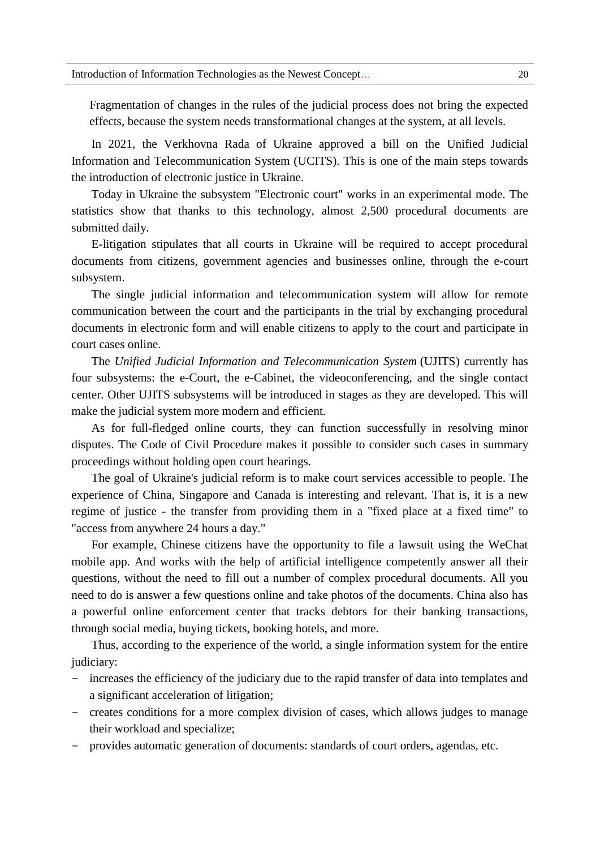Fragmentation of changes in the rules of the judicial process does not bring the expected effects, because the system needs transformational changes at the system, at all levels.

In 2021, the Verkhovna Rada of Ukraine approved a bill on the Unified Judicial Information and Telecommunication System (UCITS). This is one of the main steps towards the introduction of electronic justice in Ukraine.

Today in Ukraine the subsystem "Electronic court" works in an experimental mode. The statistics show that thanks to this technology, almost 2,500 procedural documents are submitted daily.

E-litigation stipulates that all courts in Ukraine will be required to accept procedural documents from citizens, government agencies and businesses online, through the e-court subsystem.

The single judicial information and telecommunication system will allow for remote communication between the court and the participants in the trial by exchanging procedural documents in electronic form and will enable citizens to apply to the court and participate in court cases online.

The *Unified Judicial Information and Telecommunication System* (UJITS) currently has four subsystems: the e-Court, the e-Cabinet, the videoconferencing, and the single contact center. Other UJITS subsystems will be introduced in stages as they are developed. This will make the judicial system more modern and efficient.

As for full-fledged online courts, they can function successfully in resolving minor disputes. The Code of Civil Procedure makes it possible to consider such cases in summary proceedings without holding open court hearings.

The goal of Ukraine's judicial reform is to make court services accessible to people. The experience of China, Singapore and Canada is interesting and relevant. That is, it is a new regime of justice - the transfer from providing them in a "fixed place at a fixed time" to "access from anywhere 24 hours a day."

For example, Chinese citizens have the opportunity to file a lawsuit using the WeChat mobile app. And works with the help of artificial intelligence competently answer all their questions, without the need to fill out a number of complex procedural documents. All you need to do is answer a few questions online and take photos of the documents. China also has a powerful online enforcement center that tracks debtors for their banking transactions, through social media, buying tickets, booking hotels, and more.

Thus, according to the experience of the world, a single information system for the entire judiciary:

- increases the efficiency of the judiciary due to the rapid transfer of data into templates and a significant acceleration of litigation;
- creates conditions for a more complex division of cases, which allows judges to manage their workload and specialize;
- provides automatic generation of documents: standards of court orders, agendas, etc.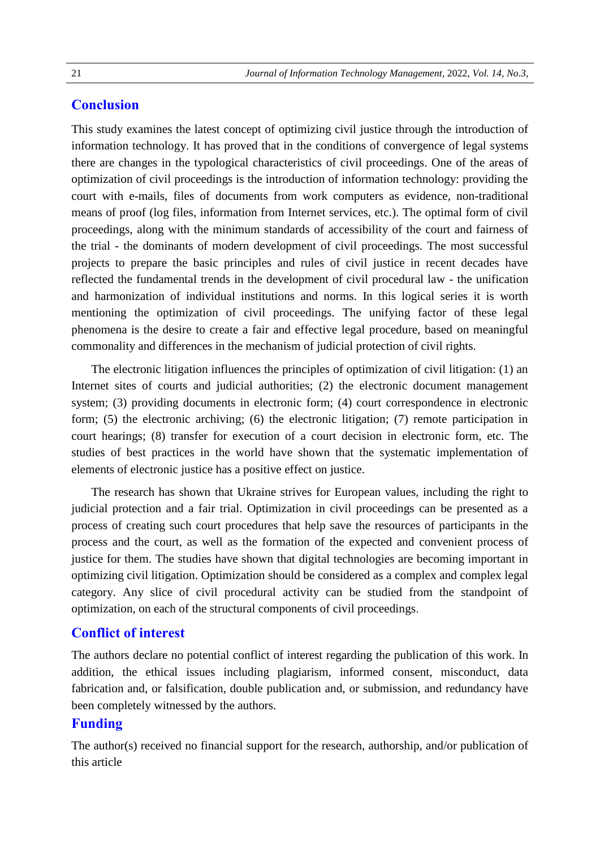## **Conclusion**

This study examines the latest concept of optimizing civil justice through the introduction of information technology. It has proved that in the conditions of convergence of legal systems there are changes in the typological characteristics of civil proceedings. One of the areas of optimization of civil proceedings is the introduction of information technology: providing the court with e-mails, files of documents from work computers as evidence, non-traditional means of proof (log files, information from Internet services, etc.). The optimal form of civil proceedings, along with the minimum standards of accessibility of the court and fairness of the trial - the dominants of modern development of civil proceedings. The most successful projects to prepare the basic principles and rules of civil justice in recent decades have reflected the fundamental trends in the development of civil procedural law - the unification and harmonization of individual institutions and norms. In this logical series it is worth mentioning the optimization of civil proceedings. The unifying factor of these legal phenomena is the desire to create a fair and effective legal procedure, based on meaningful commonality and differences in the mechanism of judicial protection of civil rights.

The electronic litigation influences the principles of optimization of civil litigation: (1) an Internet sites of courts and judicial authorities; (2) the electronic document management system; (3) providing documents in electronic form; (4) court correspondence in electronic form; (5) the electronic archiving; (6) the electronic litigation; (7) remote participation in court hearings; (8) transfer for execution of a court decision in electronic form, etc. The studies of best practices in the world have shown that the systematic implementation of elements of electronic justice has a positive effect on justice.

The research has shown that Ukraine strives for European values, including the right to judicial protection and a fair trial. Optimization in civil proceedings can be presented as a process of creating such court procedures that help save the resources of participants in the process and the court, as well as the formation of the expected and convenient process of justice for them. The studies have shown that digital technologies are becoming important in optimizing civil litigation. Optimization should be considered as a complex and complex legal category. Any slice of civil procedural activity can be studied from the standpoint of optimization, on each of the structural components of civil proceedings.

## **Conflict of interest**

The authors declare no potential conflict of interest regarding the publication of this work. In addition, the ethical issues including plagiarism, informed consent, misconduct, data fabrication and, or falsification, double publication and, or submission, and redundancy have been completely witnessed by the authors.

## **Funding**

The author(s) received no financial support for the research, authorship, and/or publication of this article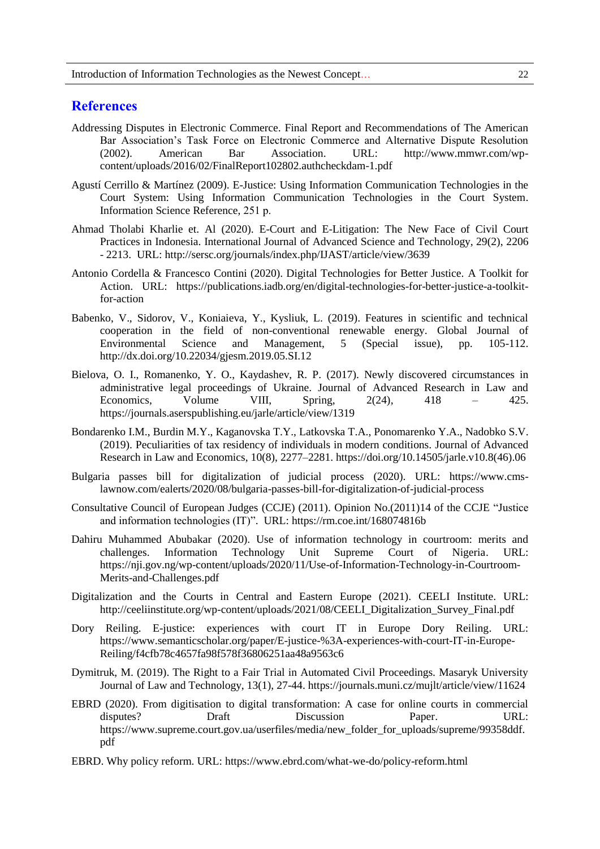#### **References**

- Addressing Disputes in Electronic Commerce. Final Report and Recommendations of The American Bar Association's Task Force on Electronic Commerce and Alternative Dispute Resolution (2002). American Bar Association. URL: http://www.mmwr.com/wpcontent/uploads/2016/02/FinalReport102802.authcheckdam-1.pdf
- Agustí Cerrillo & Martínez (2009). E-Justice: Using Information Communication Technologies in the Court System: Using Information Communication Technologies in the Court System. Information Science Reference, 251 р.
- Ahmad Tholabi Kharlie et. Al (2020). E-Court and E-Litigation: The New Face of Civil Court Practices in Indonesia. International Journal of Advanced Science and Technology, 29(2), 2206 - 2213. URL: http://sersc.org/journals/index.php/IJAST/article/view/3639
- Antonio Cordella & Francesco Contini (2020). Digital Technologies for Better Justice. A Toolkit for Action. URL: https://publications.iadb.org/en/digital-technologies-for-better-justice-a-toolkitfor-action
- Babenko, V., Sidorov, V., Koniaieva, Y., Kysliuk, L. (2019). Features in scientific and technical cooperation in the field of non-conventional renewable energy. Global Journal of Environmental Science and Management, 5 (Special issue), pp. 105-112. http://dx.doi.org/10.22034/gjesm.2019.05.SI.12
- Bielova, O. I., Romanenko, Y. O., Kaydashev, R. P. (2017). Newly discovered circumstances in administrative legal proceedings of Ukraine. Journal of Advanced Research in Law and Economics, Volume VIII, Spring,  $2(24)$ ,  $418 - 425$ . https://journals.aserspublishing.eu/jarle/article/view/1319
- Bondarenko I.M., Burdin M.Y., Kaganovska T.Y., Latkovska T.A., Ponomarenko Y.A., Nadobko S.V. (2019). Peculiarities of tax residency of individuals in modern conditions. Journal of Advanced Research in Law and Economics, 10(8), 2277–2281. https://doi.org/10.14505/jarle.v10.8(46).06
- Bulgaria passes bill for digitalization of judicial process (2020). URL: https://www.cmslawnow.com/ealerts/2020/08/bulgaria-passes-bill-for-digitalization-of-judicial-process
- Consultative Council of European Judges (CCJE) (2011). Opinion No.(2011)14 of the CCJE "Justice and information technologies (IT)". URL: https://rm.coe.int/168074816b
- Dahiru Muhammed Abubakar (2020). Use of information technology in courtroom: merits and challenges. Information Technology Unit Supreme Court of Nigeria. URL: https://nji.gov.ng/wp-content/uploads/2020/11/Use-of-Information-Technology-in-Courtroom-Merits-and-Challenges.pdf
- Digitalization and the Courts in Central and Eastern Europe (2021). CEELI Institute. URL: http://ceeliinstitute.org/wp-content/uploads/2021/08/CEELI\_Digitalization\_Survey\_Final.pdf
- Dory Reiling. E-justice: experiences with court IT in Europe Dory Reiling. URL: https://www.semanticscholar.org/paper/E-justice-%3A-experiences-with-court-IT-in-Europe-Reiling/f4cfb78c4657fa98f578f36806251aa48a9563c6
- Dymitruk, M. (2019). The Right to a Fair Trial in Automated Civil Proceedings. Masaryk University Journal of Law and Technology, 13(1), 27-44. https://journals.muni.cz/mujlt/article/view/11624
- EBRD (2020). From digitisation to digital transformation: A case for online courts in commercial disputes? Draft Discussion Paper. URL: https://www.supreme.court.gov.ua/userfiles/media/new\_folder\_for\_uploads/supreme/99358ddf. pdf
- EBRD. Why policy reform. URL: https://www.ebrd.com/what-we-do/policy-reform.html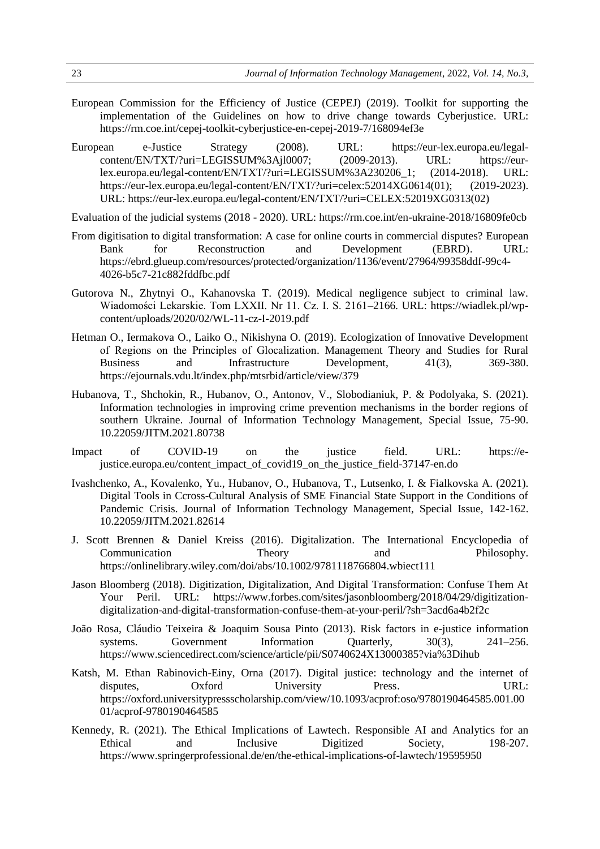- European Commission for the Efficiency of Justice (CEPEJ) (2019). Toolkit for supporting the implementation of the Guidelines on how to drive change towards Cyberjustice. URL: https://rm.coe.int/cepej-toolkit-cyberjustice-en-cepej-2019-7/168094ef3e
- European e-Justice Strategy (2008). URL: https://eur-lex.europa.eu/legalcontent/EN/TXT/?uri=LEGISSUM%3Ajl0007; (2009-2013). URL: https://eurlex.europa.eu/legal-content/EN/TXT/?uri=LEGISSUM%3A230206\_1; (2014-2018). URL: https://eur-lex.europa.eu/legal-content/EN/TXT/?uri=celex:52014XG0614(01); (2019-2023). URL: https://eur-lex.europa.eu/legal-content/EN/TXT/?uri=CELEX:52019XG0313(02)

Evaluation of the judicial systems (2018 - 2020). URL: https://rm.coe.int/en-ukraine-2018/16809fe0cb

- From digitisation to digital transformation: A case for online courts in commercial disputes? European Bank for Reconstruction and Development (EBRD). URL: https://ebrd.glueup.com/resources/protected/organization/1136/event/27964/99358ddf-99c4- 4026-b5c7-21c882fddfbc.pdf
- Gutorova N., Zhytnyi O., Kahanovska T. (2019). Medical negligence subject to criminal law. Wiadomości Lekarskie. Tom LXXII. Nr 11. Cz. I. S. 2161–2166. URL: https://wiadlek.pl/wpcontent/uploads/2020/02/WL-11-cz-I-2019.pdf
- Hetman O., Iermakova O., Laiko O., Nikishyna O. (2019). Ecologization of Innovative Development of Regions on the Principles of Gloсalization. Management Theory and Studies for Rural Business and Infrastructure Development,  $41(3)$ ,  $369-380$ . https://ejournals.vdu.lt/index.php/mtsrbid/article/view/379
- Hubanova, T., Shchokin, R., Hubanov, O., Antonov, V., Slobodianiuk, P. & Podolyaka, S. (2021). Information technologies in improving crime prevention mechanisms in the border regions of southern Ukraine. Journal of Information Technology Management, Special Issue, 75-90. 10.22059/JITM.2021.80738
- Impact of COVID-19 on the justice field. URL: https://ejustice.europa.eu/content\_impact\_of\_covid19\_on\_the\_justice\_field-37147-en.do
- Ivashchenko, A., Kovalenko, Yu., Hubanov, O., Hubanova, T., Lutsenko, I. & Fialkovska A. (2021). Digital Tools in Ccross-Cultural Analysis of SME Financial State Support in the Conditions of Pandemic Crisis. Journal of Information Technology Management, Special Issue, 142-162. 10.22059/JITM.2021.82614
- J. Scott Brennen & Daniel Kreiss (2016). Digitalization. The International Encyclopedia of Communication Theory and Philosophy. https://onlinelibrary.wiley.com/doi/abs/10.1002/9781118766804.wbiect111
- Jason Bloomberg (2018). Digitization, Digitalization, And Digital Transformation: Confuse Them At Your Peril. URL: https://www.forbes.com/sites/jasonbloomberg/2018/04/29/digitizationdigitalization-and-digital-transformation-confuse-them-at-your-peril/?sh=3acd6a4b2f2c
- João Rosa, Cláudio Teixeira & Joaquim Sousa Pinto (2013). Risk factors in e-justice information systems. Government Information Quarterly,  $30(3)$ ,  $241-256$ . https://www.sciencedirect.com/science/article/pii/S0740624X13000385?via%3Dihub
- Katsh, M. Ethan Rabinovich-Einy, Orna (2017). Digital justice: technology and the internet of disputes,  $Oxford$  University Press. URL: https://oxford.universitypressscholarship.com/view/10.1093/acprof:oso/9780190464585.001.00 01/acprof-9780190464585
- Kennedy, R. (2021). The Ethical Implications of Lawtech. Responsible AI and Analytics for an Ethical and Inclusive Digitized Society, 198-207. https://www.springerprofessional.de/en/the-ethical-implications-of-lawtech/19595950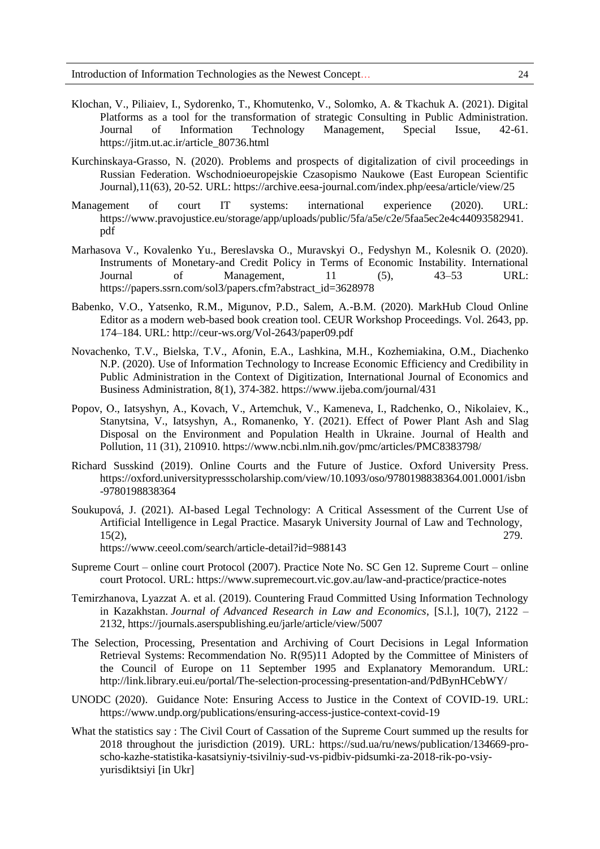- Klochan, V., Piliaiev, I., Sydorenko, T., Khomutenko, V., Solomko, A. & Tkachuk A. (2021). Digital Platforms as a tool for the transformation of strategic Consulting in Public Administration. Journal of Information Technology Management, Special Issue, 42-61. https://jitm.ut.ac.ir/article\_80736.html
- Kurchinskaya-Grasso, N. (2020). Problems and prospects of digitalization of civil proceedings in Russian Federation. Wschodnioeuropejskie Czasopismo Naukowe (East European Scientific Journal),11(63), 20-52. URL: https://archive.eesa-journal.com/index.php/eesa/article/view/25
- Management of court IT systems: international experience (2020). URL: https://www.pravojustice.eu/storage/app/uploads/public/5fa/a5e/c2e/5faa5ec2e4c44093582941. pdf
- Marhasova V., Kovalenko Yu., Bereslavska O., Muravskyi O., Fedyshyn M., Kolesnik O. (2020). Instruments of Monetary-and Credit Policy in Terms of Economic Instability. International Journal of Management, 11 (5), 43–53 URL: https://papers.ssrn.com/sol3/papers.cfm?abstract\_id=3628978
- Babenko, V.O., Yatsenko, R.M., Migunov, P.D., Salem, A.-B.M. (2020). MarkHub Cloud Online Editor as a modern web-based book creation tool. CEUR Workshop Proceedings. Vol. 2643, pp. 174–184. URL: http://ceur-ws.org/Vol-2643/paper09.pdf
- Novachenko, T.V., Bielska, T.V., Afonin, E.A., Lashkina, M.H., Kozhemiakina, O.M., Diachenko N.P. (2020). Use of Information Technology to Increase Economic Efficiency and Credibility in Public Administration in the Context of Digitization, International Journal of Economics and Business Administration, 8(1), 374-382. https://www.ijeba.com/journal/431
- Popov, О., Iatsyshyn, A., Kovach, V., Artemchuk, V., Kameneva, I., Radchenko, O., Nikolaiev, K., Stanytsina, V., Iatsyshyn, A., Romanenko, Y. (2021). Effect of Power Plant Ash and Slag Disposal on the Environment and Population Health in Ukraine. Journal of Health and Pollution, 11 (31), 210910. https://www.ncbi.nlm.nih.gov/pmc/articles/PMC8383798/
- Richard Susskind (2019). Online Courts and the Future of Justice. Oxford University Press. https://oxford.universitypressscholarship.com/view/10.1093/oso/9780198838364.001.0001/isbn -9780198838364
- Soukupová, J. (2021). AI-based Legal Technology: A Critical Assessment of the Current Use of Artificial Intelligence in Legal Practice. Masaryk University Journal of Law and Technology, 15(2), 279.

https://www.ceeol.com/search/article-detail?id=988143

- Supreme Court online court Protocol (2007). Practice Note No. SC Gen 12. Supreme Court online court Protocol. URL: https://www.supremecourt.vic.gov.au/law-and-practice/practice-notes
- Temirzhanova, Lyazzat А. et al. (2019). Countering Fraud Committed Using Information Technology in Kazakhstan. *Journal of Advanced Research in Law and Economics*, [S.l.], 10(7), 2122 – 2132, https://journals.aserspublishing.eu/jarle/article/view/5007
- The Selection, Processing, Presentation and Archiving of Court Decisions in Legal Information Retrieval Systems: Recommendation No. R(95)11 Adopted by the Committee of Ministers of the Council of Europe on 11 September 1995 and Explanatory Memorandum. URL: http://link.library.eui.eu/portal/The-selection-processing-presentation-and/PdBynHCebWY/
- UNODC (2020). Guidance Note: Ensuring Access to Justice in the Context of COVID-19. URL: https://www.undp.org/publications/ensuring-access-justice-context-covid-19
- What the statistics say : The Civil Court of Cassation of the Supreme Court summed up the results for 2018 throughout the jurisdiction (2019). URL: https://sud.ua/ru/news/publication/134669-proscho-kazhe-statistika-kasatsiyniy-tsivilniy-sud-vs-pidbiv-pidsumki-za-2018-rik-po-vsiyyurisdiktsiyi [in Ukr]